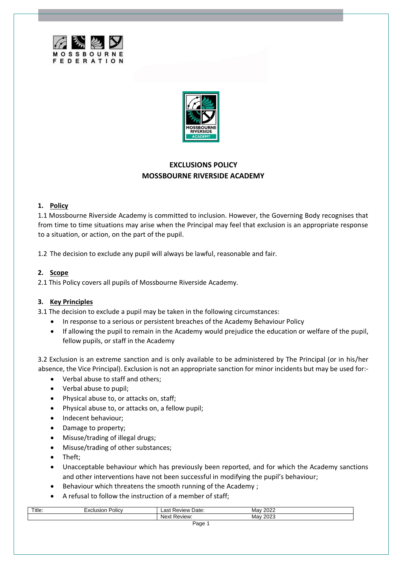



# **EXCLUSIONS POLICY MOSSBOURNE RIVERSIDE ACADEMY**

# **1. Policy**

1.1 Mossbourne Riverside Academy is committed to inclusion. However, the Governing Body recognises that from time to time situations may arise when the Principal may feel that exclusion is an appropriate response to a situation, or action, on the part of the pupil.

1.2 The decision to exclude any pupil will always be lawful, reasonable and fair.

## **2. Scope**

2.1 This Policy covers all pupils of Mossbourne Riverside Academy.

# **3. Key Principles**

3.1 The decision to exclude a pupil may be taken in the following circumstances:

- In response to a serious or persistent breaches of the Academy Behaviour Policy
- If allowing the pupil to remain in the Academy would prejudice the education or welfare of the pupil, fellow pupils, or staff in the Academy

3.2 Exclusion is an extreme sanction and is only available to be administered by The Principal (or in his/her absence, the Vice Principal). Exclusion is not an appropriate sanction for minor incidents but may be used for:-

- Verbal abuse to staff and others;
- Verbal abuse to pupil;
- Physical abuse to, or attacks on, staff;
- Physical abuse to, or attacks on, a fellow pupil;
- Indecent behaviour;
- Damage to property;
- Misuse/trading of illegal drugs;
- Misuse/trading of other substances;
- Theft;
- Unacceptable behaviour which has previously been reported, and for which the Academy sanctions and other interventions have not been successful in modifying the pupil's behaviour;
- Behaviour which threatens the smooth running of the Academy ;
- A refusal to follow the instruction of a member of staff;

| Title: | <br><b>Policy</b><br>isior<br>$\ddot{\phantom{0}}$ | Date:<br>ast<br>Review | 2022<br>May       |  |
|--------|----------------------------------------------------|------------------------|-------------------|--|
|        |                                                    | Nex<br>eview:          | ററാ<br>Mav<br>∠∪∠ |  |
|        |                                                    | - -                    |                   |  |

Page 1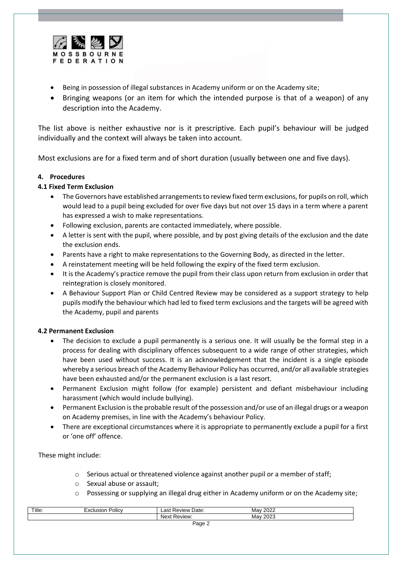

- Being in possession of illegal substances in Academy uniform or on the Academy site;
- Bringing weapons (or an item for which the intended purpose is that of a weapon) of any description into the Academy.

The list above is neither exhaustive nor is it prescriptive. Each pupil's behaviour will be judged individually and the context will always be taken into account.

Most exclusions are for a fixed term and of short duration (usually between one and five days).

### **4. Procedures**

## **4.1 Fixed Term Exclusion**

- The Governors have established arrangements to review fixed term exclusions, for pupils on roll, which would lead to a pupil being excluded for over five days but not over 15 days in a term where a parent has expressed a wish to make representations.
- Following exclusion, parents are contacted immediately, where possible.
- A letter is sent with the pupil, where possible, and by post giving details of the exclusion and the date the exclusion ends.
- Parents have a right to make representations to the Governing Body, as directed in the letter.
- A reinstatement meeting will be held following the expiry of the fixed term exclusion.
- It is the Academy's practice remove the pupil from their class upon return from exclusion in order that reintegration is closely monitored.
- A Behaviour Support Plan or Child Centred Review may be considered as a support strategy to help pupils modify the behaviour which had led to fixed term exclusions and the targets will be agreed with the Academy, pupil and parents

### **4.2 Permanent Exclusion**

- The decision to exclude a pupil permanently is a serious one. It will usually be the formal step in a process for dealing with disciplinary offences subsequent to a wide range of other strategies, which have been used without success. It is an acknowledgement that the incident is a single episode whereby a serious breach of the Academy Behaviour Policy has occurred, and/or all available strategies have been exhausted and/or the permanent exclusion is a last resort.
- Permanent Exclusion might follow (for example) persistent and defiant misbehaviour including harassment (which would include bullying).
- Permanent Exclusion is the probable result of the possession and/or use of an illegal drugs or a weapon on Academy premises, in line with the Academy's behaviour Policy.
- There are exceptional circumstances where it is appropriate to permanently exclude a pupil for a first or 'one off' offence.

These might include:

- $\circ$  Serious actual or threatened violence against another pupil or a member of staff;
- o Sexual abuse or assault;
- o Possessing or supplying an illegal drug either in Academy uniform or on the Academy site;

| Title:      | Policy<br>usioi<br>∼ | Date:<br>$\sim$<br>$\cdots$<br>…ev"<br>71 C V<br>–do⊧∶ | 0000<br>Mav<br>2022 |  |
|-------------|----------------------|--------------------------------------------------------|---------------------|--|
|             |                      | 'AVIAW'<br>™ I U V I                                   | 0000<br>Mav<br>2023 |  |
| n. <i>.</i> |                      |                                                        |                     |  |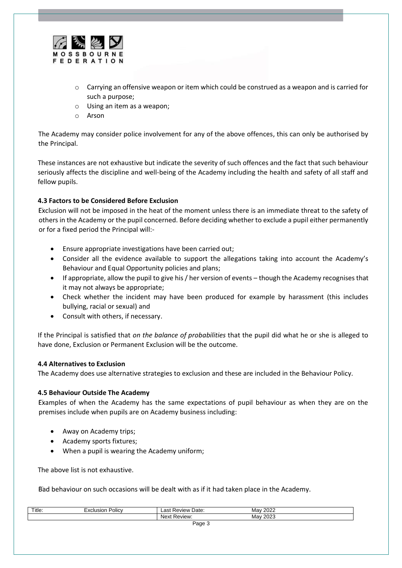

- $\circ$  Carrying an offensive weapon or item which could be construed as a weapon and is carried for such a purpose;
- o Using an item as a weapon;
- o Arson

The Academy may consider police involvement for any of the above offences, this can only be authorised by the Principal.

These instances are not exhaustive but indicate the severity of such offences and the fact that such behaviour seriously affects the discipline and well-being of the Academy including the health and safety of all staff and fellow pupils.

## **4.3 Factors to be Considered Before Exclusion**

Exclusion will not be imposed in the heat of the moment unless there is an immediate threat to the safety of others in the Academy or the pupil concerned. Before deciding whether to exclude a pupil either permanently or for a fixed period the Principal will:-

- Ensure appropriate investigations have been carried out;
- Consider all the evidence available to support the allegations taking into account the Academy's Behaviour and Equal Opportunity policies and plans;
- If appropriate, allow the pupil to give his / her version of events though the Academy recognises that it may not always be appropriate;
- Check whether the incident may have been produced for example by harassment (this includes bullying, racial or sexual) and
- Consult with others, if necessary.

If the Principal is satisfied that *on the balance of probabilities* that the pupil did what he or she is alleged to have done, Exclusion or Permanent Exclusion will be the outcome.

### **4.4 Alternatives to Exclusion**

The Academy does use alternative strategies to exclusion and these are included in the Behaviour Policy.

### **4.5 Behaviour Outside The Academy**

Examples of when the Academy has the same expectations of pupil behaviour as when they are on the premises include when pupils are on Academy business including:

- Away on Academy trips;
- Academy sports fixtures;
- When a pupil is wearing the Academy uniform;

The above list is not exhaustive.

Bad behaviour on such occasions will be dealt with as if it had taken place in the Academy.

| Title. | Policy<br>1010<br>sior | Date:<br>ായ<br>eview' | ററാ<br>Mav<br>ZUZZ        |  |
|--------|------------------------|-----------------------|---------------------------|--|
|        |                        | Review:<br>Nev<br>◥◡  | ററാ<br>Mav<br><b>LULJ</b> |  |
| - -    |                        |                       |                           |  |